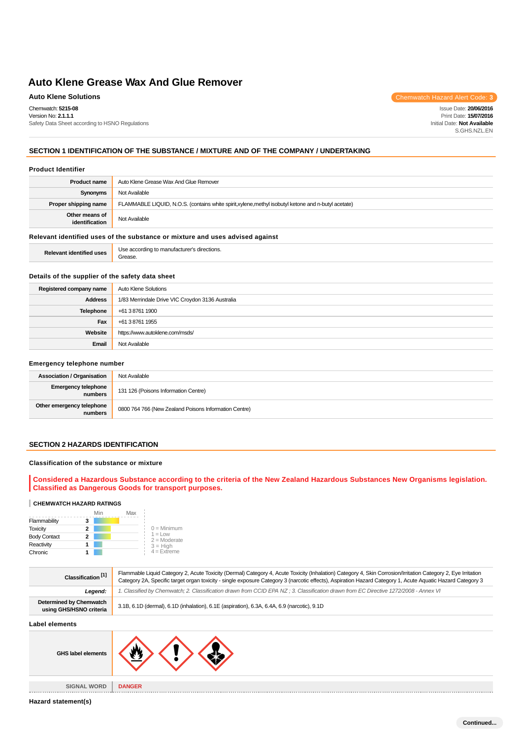Chemwatch: **5215-08** Version No: **2.1.1.1** Safety Data Sheet according to HSNO Regulations

Auto Klene Solutions **Chemwatch Hazard Alert Code:** 3

Issue Date: **20/06/2016** Print Date: **15/07/2016** Initial Date: **Not Available** S.GHS.NZL.EN

## **SECTION 1 IDENTIFICATION OF THE SUBSTANCE / MIXTURE AND OF THE COMPANY / UNDERTAKING**

#### **Product Identifier**

| <b>Product name</b>                                                           | Auto Klene Grease Wax And Glue Remover                                                               |  |
|-------------------------------------------------------------------------------|------------------------------------------------------------------------------------------------------|--|
| Synonyms                                                                      | Not Available                                                                                        |  |
| Proper shipping name                                                          | FLAMMABLE LIQUID, N.O.S. (contains white spirit, xylene, methyl isobutyl ketone and n-butyl acetate) |  |
| Other means of<br>identification                                              | Not Available                                                                                        |  |
| Relevant identified uses of the substance or mixture and uses advised against |                                                                                                      |  |

| <b>Relevant identified uses</b> | Use according to manufacturer's directions.<br>Grease. |
|---------------------------------|--------------------------------------------------------|
|---------------------------------|--------------------------------------------------------|

# **Details of the supplier of the safety data sheet**

| Registered company name | Auto Klene Solutions                             |  |
|-------------------------|--------------------------------------------------|--|
| <b>Address</b>          | 1/83 Merrindale Drive VIC Croydon 3136 Australia |  |
| Telephone               | +61 3 8761 1900                                  |  |
| Fax                     | +61 3 8761 1955                                  |  |
| Website                 | https://www.autoklene.com/msds/                  |  |
| Email                   | Not Available                                    |  |

#### **Emergency telephone number**

| <b>Association / Organisation</b>    | Not Available                                         |
|--------------------------------------|-------------------------------------------------------|
| Emergency telephone<br>numbers       | 131 126 (Poisons Information Centre)                  |
| Other emergency telephone<br>numbers | 0800 764 766 (New Zealand Poisons Information Centre) |

## **SECTION 2 HAZARDS IDENTIFICATION**

#### **Classification of the substance or mixture**

## **Considered a Hazardous Substance according to the criteria of the New Zealand Hazardous Substances New Organisms legislation. Classified as Dangerous Goods for transport purposes.**

#### **CHEMWATCH HAZARD RATINGS**

|                     | Min | Max |                             |
|---------------------|-----|-----|-----------------------------|
| Flammability        | 3   |     |                             |
| <b>Toxicity</b>     | 2   |     | $0 =$ Minimum               |
| <b>Body Contact</b> | 2   |     | $1 = Low$<br>$2 =$ Moderate |
| Reactivity          |     |     | $3 = High$                  |
| Chronic             |     |     | $4 =$ Extreme               |

| Classification <sup>[1]</sup>                      | Flammable Liquid Category 2, Acute Toxicity (Dermal) Category 4, Acute Toxicity (Inhalation) Category 4, Skin Corrosion/Irritation Category 2, Eye Irritation<br>Category 2A, Specific target organ toxicity - single exposure Category 3 (narcotic effects), Aspiration Hazard Category 1, Acute Aquatic Hazard Category 3 |  |
|----------------------------------------------------|-----------------------------------------------------------------------------------------------------------------------------------------------------------------------------------------------------------------------------------------------------------------------------------------------------------------------------|--|
| Legend:                                            | 1. Classified by Chemwatch; 2. Classification drawn from CCID EPA NZ; 3. Classification drawn from EC Directive 1272/2008 - Annex VI                                                                                                                                                                                        |  |
| Determined by Chemwatch<br>using GHS/HSNO criteria | 3.1B, 6.1D (dermal), 6.1D (inhalation), 6.1E (aspiration), 6.3A, 6.4A, 6.9 (narcotic), 9.1D                                                                                                                                                                                                                                 |  |
| Label elements                                     |                                                                                                                                                                                                                                                                                                                             |  |
| <b>GHS label elements</b>                          |                                                                                                                                                                                                                                                                                                                             |  |
| <b>SIGNAL WORD</b>                                 | <b>DANGER</b>                                                                                                                                                                                                                                                                                                               |  |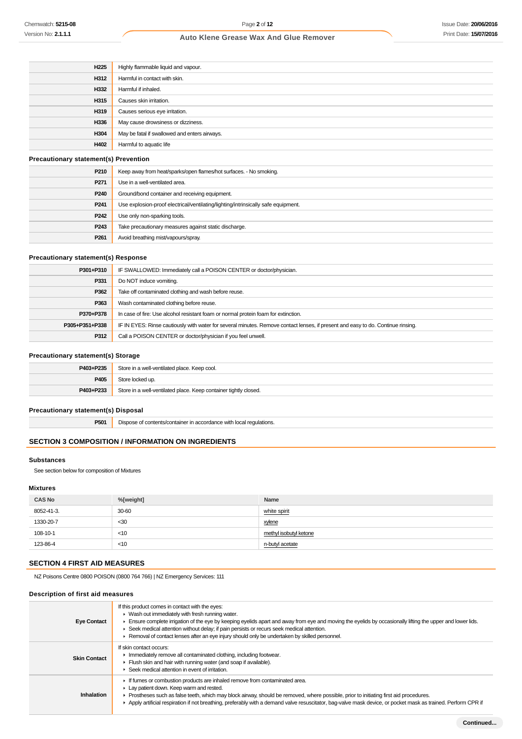| H <sub>225</sub> | Highly flammable liquid and vapour.           |
|------------------|-----------------------------------------------|
| H312             | Harmful in contact with skin.                 |
| H332             | Harmful if inhaled.                           |
| H315             | Causes skin irritation.                       |
| H319             | Causes serious eye irritation.                |
| H336             | May cause drowsiness or dizziness.            |
| H304             | May be fatal if swallowed and enters airways. |
| H402             | Harmful to aquatic life                       |
|                  |                                               |

# **Precautionary statement(s) Prevention**

| P210             | Keep away from heat/sparks/open flames/hot surfaces. - No smoking.                |  |
|------------------|-----------------------------------------------------------------------------------|--|
| P271             | Use in a well-ventilated area.                                                    |  |
| P240             | Ground/bond container and receiving equipment.                                    |  |
| P <sub>241</sub> | Use explosion-proof electrical/ventilating/lighting/intrinsically safe equipment. |  |
| P242             | Use only non-sparking tools.                                                      |  |
| P243             | Take precautionary measures against static discharge.                             |  |
| P <sub>261</sub> | Avoid breathing mist/vapours/spray.                                               |  |

## **Precautionary statement(s) Response**

| P301+P310      | IF SWALLOWED: Immediately call a POISON CENTER or doctor/physician.                                                              |  |
|----------------|----------------------------------------------------------------------------------------------------------------------------------|--|
| P331           | Do NOT induce vomiting.                                                                                                          |  |
| P362           | Take off contaminated clothing and wash before reuse.                                                                            |  |
| P363           | Wash contaminated clothing before reuse.                                                                                         |  |
| P370+P378      | In case of fire: Use alcohol resistant foam or normal protein foam for extinction.                                               |  |
| P305+P351+P338 | IF IN EYES: Rinse cautiously with water for several minutes. Remove contact lenses, if present and easy to do. Continue rinsing. |  |
| P312           | Call a POISON CENTER or doctor/physician if you feel unwell.                                                                     |  |

# **Precautionary statement(s) Storage**

| P403+P235 | Store in a well-ventilated place. Keep cool.                     |  |
|-----------|------------------------------------------------------------------|--|
| P405      | Store locked up.                                                 |  |
| P403+P233 | Store in a well-ventilated place. Keep container tightly closed. |  |

## **Precautionary statement(s) Disposal**

| P501 | Dispose of contents/container in accordance with local regulations. |
|------|---------------------------------------------------------------------|
|      |                                                                     |

# **SECTION 3 COMPOSITION / INFORMATION ON INGREDIENTS**

#### **Substances**

See section below for composition of Mixtures

#### **Mixtures**

| <b>CAS No</b> | %[weight] | Name                   |
|---------------|-----------|------------------------|
| 8052-41-3.    | 30-60     | white spirit           |
| 1330-20-7     | $30$      | xylene                 |
| 108-10-1      | < 10      | methyl isobutyl ketone |
| 123-86-4      | < 10      | n-butyl acetate        |

# **SECTION 4 FIRST AID MEASURES**

NZ Poisons Centre 0800 POISON (0800 764 766) | NZ Emergency Services: 111

## **Description of first aid measures**

| <b>Eye Contact</b>  | If this product comes in contact with the eyes:<br>• Wash out immediately with fresh running water.<br>Ensure complete irrigation of the eye by keeping eyelids apart and away from eye and moving the eyelids by occasionally lifting the upper and lower lids.<br>► Seek medical attention without delay; if pain persists or recurs seek medical attention.<br>► Removal of contact lenses after an eye injury should only be undertaken by skilled personnel. |
|---------------------|-------------------------------------------------------------------------------------------------------------------------------------------------------------------------------------------------------------------------------------------------------------------------------------------------------------------------------------------------------------------------------------------------------------------------------------------------------------------|
| <b>Skin Contact</b> | If skin contact occurs:<br>In mediately remove all contaminated clothing, including footwear.<br>Flush skin and hair with running water (and soap if available).<br>▶ Seek medical attention in event of irritation.                                                                                                                                                                                                                                              |
| Inhalation          | If fumes or combustion products are inhaled remove from contaminated area.<br>Lay patient down. Keep warm and rested.<br>► Prostheses such as false teeth, which may block airway, should be removed, where possible, prior to initiating first aid procedures.<br>Apply artificial respiration if not breathing, preferably with a demand valve resuscitator, bag-valve mask device, or pocket mask as trained. Perform CPR if                                   |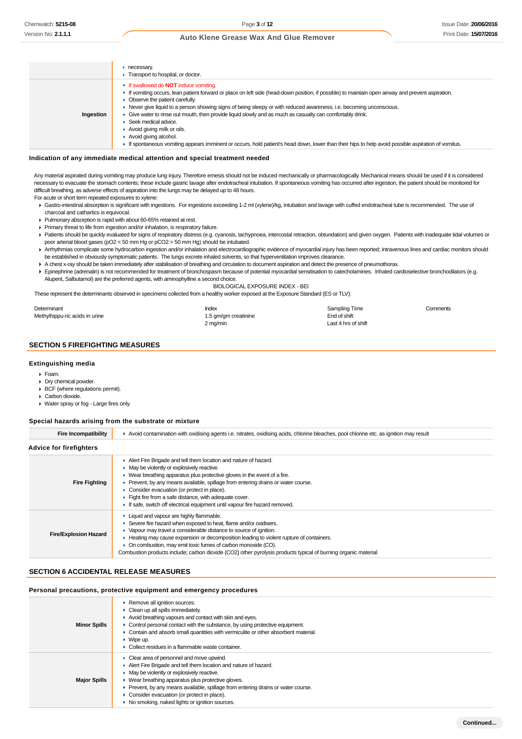#### Issue Date: **20/06/2016** Print Date: **15/07/2016**

## **Auto Klene Grease Wax And Glue Remover**

|           | necessary.<br>Transport to hospital, or doctor.                                                                                                                                                                                                                                                                                                                                                                                                                                                                                                                                                                                                                                                            |
|-----------|------------------------------------------------------------------------------------------------------------------------------------------------------------------------------------------------------------------------------------------------------------------------------------------------------------------------------------------------------------------------------------------------------------------------------------------------------------------------------------------------------------------------------------------------------------------------------------------------------------------------------------------------------------------------------------------------------------|
| Ingestion | If swallowed do <b>NOT</b> induce vomiting.<br>If vomiting occurs, lean patient forward or place on left side (head-down position, if possible) to maintain open airway and prevent aspiration.<br>• Observe the patient carefully.<br>► Never give liquid to a person showing signs of being sleepy or with reduced awareness; i.e. becoming unconscious.<br>Give water to rinse out mouth, then provide liquid slowly and as much as casualty can comfortably drink.<br>Seek medical advice.<br>Avoid giving milk or oils.<br>Avoid giving alcohol.<br>If spontaneous vomiting appears imminent or occurs, hold patient's head down, lower than their hips to help avoid possible aspiration of vomitus. |

## **Indication of any immediate medical attention and special treatment needed**

Any material aspirated during vomiting may produce lung injury. Therefore emesis should not be induced mechanically or pharmacologically. Mechanical means should be used if it is considered necessary to evacuate the stomach contents; these include gastric lavage after endotracheal intubation. If spontaneous vomiting has occurred after ingestion, the patient should be monitored for difficult breathing, as adverse effects of aspiration into the lungs may be delayed up to 48 hours.

- For acute or short term repeated exposures to xylene:
- Gastro-intestinal absorption is significant with ingestions. For ingestions exceeding 1-2 ml (xylene)/kg, intubation and lavage with cuffed endotracheal tube is recommended. The use of charcoal and cathartics is equivocal.
- Pulmonary absorption is rapid with about 60-65% retained at rest.
- Primary threat to life from ingestion and/or inhalation, is respiratory failure.
- Patients should be quickly evaluated for signs of respiratory distress (e.g. cyanosis, tachypnoea, intercostal retraction, obtundation) and given oxygen. Patients with inadequate tidal volumes or poor arterial blood gases (pO2 < 50 mm Hg or pCO2 > 50 mm Hg) should be intubated.
- Arrhythmias complicate some hydrocarbon ingestion and/or inhalation and electrocardiographic evidence of myocardial injury has been reported; intravenous lines and cardiac monitors should be established in obviously symptomatic patients. The lungs excrete inhaled solvents, so that hyperventilation improves clearance.
- A chest x-ray should be taken immediately after stabilisation of breathing and circulation to document aspiration and detect the presence of pneumothorax.
- Epinephrine (adrenalin) is not recommended for treatment of bronchospasm because of potential myocardial sensitisation to catecholamines. Inhaled cardioselective bronchodilators (e.g. Alupent, Salbutamol) are the preferred agents, with aminophylline a second choice.
	- BIOLOGICAL EXPOSURE INDEX BEI

These represent the determinants observed in specimens collected from a healthy worker exposed at the Exposure Standard (ES or TLV):

| Determinant                    | Index                | Sampling Time       | Comments |
|--------------------------------|----------------------|---------------------|----------|
| Methylhippu-ric acids in urine | 1.5 gm/gm creatinine | End of shift        |          |
|                                | 2 mg/min             | Last 4 hrs of shift |          |

## **SECTION 5 FIREFIGHTING MEASURES**

#### **Extinguishing media**

- Foam.
- Dry chemical powder.
- BCF (where regulations permit).
- Carbon dioxide.
- Water spray or fog Large fires only.

#### **Special hazards arising from the substrate or mixture**

| <b>Fire Incompatibility</b>    | Avoid contamination with oxidising agents i.e. nitrates, oxidising acids, chlorine bleaches, pool chlorine etc. as ignition may result                                                                                                                                                                                                                                                                                                                                                        |  |  |
|--------------------------------|-----------------------------------------------------------------------------------------------------------------------------------------------------------------------------------------------------------------------------------------------------------------------------------------------------------------------------------------------------------------------------------------------------------------------------------------------------------------------------------------------|--|--|
| <b>Advice for firefighters</b> |                                                                                                                                                                                                                                                                                                                                                                                                                                                                                               |  |  |
| <b>Fire Fighting</b>           | Alert Fire Brigade and tell them location and nature of hazard.<br>• May be violently or explosively reactive.<br>• Wear breathing apparatus plus protective gloves in the event of a fire.<br>• Prevent, by any means available, spillage from entering drains or water course.<br>• Consider evacuation (or protect in place).<br>$\blacktriangleright$ Fight fire from a safe distance, with adequate cover.<br>If safe, switch off electrical equipment until vapour fire hazard removed. |  |  |
| <b>Fire/Explosion Hazard</b>   | • Liquid and vapour are highly flammable.<br>Severe fire hazard when exposed to heat, flame and/or oxidisers.<br>Vapour may travel a considerable distance to source of ignition.<br>E Heating may cause expansion or decomposition leading to violent rupture of containers.<br>• On combustion, may emit toxic fumes of carbon monoxide (CO).<br>Combustion products include; carbon dioxide (CO2) other pyrolysis products typical of burning organic material                             |  |  |

#### **SECTION 6 ACCIDENTAL RELEASE MEASURES**

#### **Personal precautions, protective equipment and emergency procedures**

| <b>Minor Spills</b> | Remove all ignition sources.<br>$\triangleright$ Clean up all spills immediately.<br>Avoid breathing vapours and contact with skin and eyes.<br>$\triangleright$ Control personal contact with the substance, by using protective equipment.<br>• Contain and absorb small quantities with vermiculite or other absorbent material.<br>$\triangleright$ Wipe up.<br>• Collect residues in a flammable waste container.  |
|---------------------|-------------------------------------------------------------------------------------------------------------------------------------------------------------------------------------------------------------------------------------------------------------------------------------------------------------------------------------------------------------------------------------------------------------------------|
| <b>Major Spills</b> | $\triangleright$ Clear area of personnel and move upwind.<br>Alert Fire Brigade and tell them location and nature of hazard.<br>• May be violently or explosively reactive.<br>▶ Wear breathing apparatus plus protective gloves.<br>Prevent, by any means available, spillage from entering drains or water course.<br>• Consider evacuation (or protect in place).<br>▶ No smoking, naked lights or ignition sources. |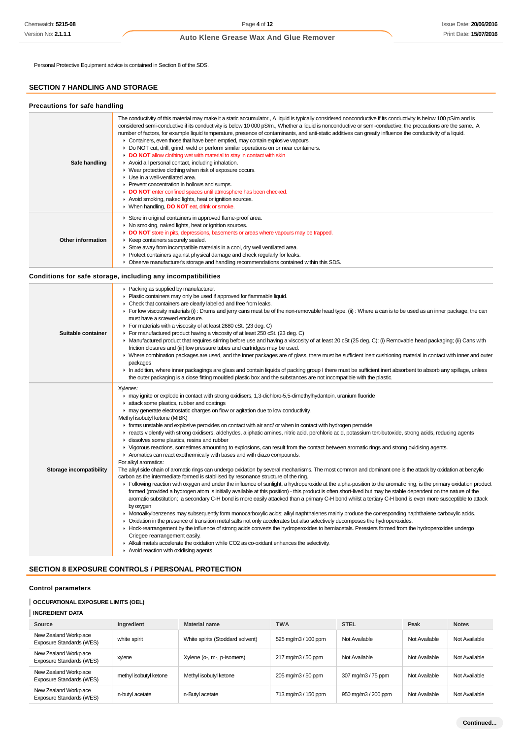# Issue Date: **20/06/2016** Print Date: **15/07/2016**

# **Auto Klene Grease Wax And Glue Remover**

Personal Protective Equipment advice is contained in Section 8 of the SDS.

# **SECTION 7 HANDLING AND STORAGE**

#### **Precautions for safe handling**

| Safe handling     | The conductivity of this material may make it a static accumulator., A liquid is typically considered nonconductive if its conductivity is below 100 pS/m and is<br>considered semi-conductive if its conductivity is below 10 000 pS/m., Whether a liquid is nonconductive or semi-conductive, the precautions are the same., A<br>number of factors, for example liquid temperature, presence of contaminants, and anti-static additives can greatly influence the conductivity of a liquid.<br>• Containers, even those that have been emptied, may contain explosive vapours.<br>► Do NOT cut, drill, grind, weld or perform similar operations on or near containers.<br>DO NOT allow clothing wet with material to stay in contact with skin<br>Avoid all personal contact, including inhalation.<br>• Wear protective clothing when risk of exposure occurs.<br>$\blacktriangleright$ Use in a well-ventilated area.<br>▶ Prevent concentration in hollows and sumps.<br>DO NOT enter confined spaces until atmosphere has been checked.<br>Avoid smoking, naked lights, heat or ignition sources.<br>▶ When handling, <b>DO NOT</b> eat, drink or smoke. |
|-------------------|------------------------------------------------------------------------------------------------------------------------------------------------------------------------------------------------------------------------------------------------------------------------------------------------------------------------------------------------------------------------------------------------------------------------------------------------------------------------------------------------------------------------------------------------------------------------------------------------------------------------------------------------------------------------------------------------------------------------------------------------------------------------------------------------------------------------------------------------------------------------------------------------------------------------------------------------------------------------------------------------------------------------------------------------------------------------------------------------------------------------------------------------------------------|
| Other information | Store in original containers in approved flame-proof area.<br>▶ No smoking, naked lights, heat or ignition sources.<br>DO NOT store in pits, depressions, basements or areas where vapours may be trapped.<br>▶ Keep containers securely sealed.<br>Store away from incompatible materials in a cool, dry well ventilated area.<br>▶ Protect containers against physical damage and check regularly for leaks.<br>• Observe manufacturer's storage and handling recommendations contained within this SDS.                                                                                                                                                                                                                                                                                                                                                                                                                                                                                                                                                                                                                                                       |

## **Conditions for safe storage, including any incompatibilities**

| Suitable container      | Packing as supplied by manufacturer.<br>Plastic containers may only be used if approved for flammable liquid.<br>• Check that containers are clearly labelled and free from leaks.<br>For low viscosity materials (i) : Drums and jerry cans must be of the non-removable head type. (ii) : Where a can is to be used as an inner package, the can<br>must have a screwed enclosure.<br>For materials with a viscosity of at least 2680 cSt. (23 deg. C)<br>For manufactured product having a viscosity of at least 250 cSt. (23 deg. C)<br>• Manufactured product that requires stirring before use and having a viscosity of at least 20 cSt (25 deg. C): (i) Removable head packaging; (ii) Cans with<br>friction closures and (iii) low pressure tubes and cartridges may be used.<br>> Where combination packages are used, and the inner packages are of glass, there must be sufficient inert cushioning material in contact with inner and outer<br>packages<br>In addition, where inner packagings are glass and contain liquids of packing group I there must be sufficient inert absorbent to absorb any spillage, unless<br>the outer packaging is a close fitting moulded plastic box and the substances are not incompatible with the plastic.                                                                                                                                                                                                                                                                                                                                                                                                                                                                                                                                                                                                                                                                                                                                                                                                                                                                                                                                                                                                                      |
|-------------------------|-----------------------------------------------------------------------------------------------------------------------------------------------------------------------------------------------------------------------------------------------------------------------------------------------------------------------------------------------------------------------------------------------------------------------------------------------------------------------------------------------------------------------------------------------------------------------------------------------------------------------------------------------------------------------------------------------------------------------------------------------------------------------------------------------------------------------------------------------------------------------------------------------------------------------------------------------------------------------------------------------------------------------------------------------------------------------------------------------------------------------------------------------------------------------------------------------------------------------------------------------------------------------------------------------------------------------------------------------------------------------------------------------------------------------------------------------------------------------------------------------------------------------------------------------------------------------------------------------------------------------------------------------------------------------------------------------------------------------------------------------------------------------------------------------------------------------------------------------------------------------------------------------------------------------------------------------------------------------------------------------------------------------------------------------------------------------------------------------------------------------------------------------------------------------------------------------------------------------------------------------------------------------------------|
| Storage incompatibility | Xylenes:<br>may ignite or explode in contact with strong oxidisers, 1,3-dichloro-5,5-dimethylhydantoin, uranium fluoride<br>attack some plastics, rubber and coatings<br>may generate electrostatic charges on flow or agitation due to low conductivity.<br>Methyl isobutyl ketone (MIBK)<br>• forms unstable and explosive peroxides on contact with air and/ or when in contact with hydrogen peroxide<br>F reacts violently with strong oxidisers, aldehydes, aliphatic amines, nitric acid, perchloric acid, potassium tert-butoxide, strong acids, reducing agents<br>dissolves some plastics, resins and rubber<br>▶ Vigorous reactions, sometimes amounting to explosions, can result from the contact between aromatic rings and strong oxidising agents.<br>Aromatics can react exothermically with bases and with diazo compounds.<br>For alkyl aromatics:<br>The alkyl side chain of aromatic rings can undergo oxidation by several mechanisms. The most common and dominant one is the attack by oxidation at benzylic<br>carbon as the intermediate formed is stabilised by resonance structure of the ring.<br>Following reaction with oxygen and under the influence of sunlight, a hydroperoxide at the alpha-position to the aromatic ring, is the primary oxidation product<br>formed (provided a hydrogen atom is initially available at this position) - this product is often short-lived but may be stable dependent on the nature of the<br>aromatic substitution; a secondary C-H bond is more easily attacked than a primary C-H bond whilst a tertiary C-H bond is even more susceptible to attack<br>by oxygen<br>▶ Monoalkylbenzenes may subsequently form monocarboxylic acids; alkyl naphthalenes mainly produce the corresponding naphthalene carboxylic acids.<br>• Oxidation in the presence of transition metal salts not only accelerates but also selectively decomposes the hydroperoxides.<br>Hock-rearrangement by the influence of strong acids converts the hydroperoxides to hemiacetals. Peresters formed from the hydroperoxides undergo<br>Criegee rearrangement easily.<br>Alkali metals accelerate the oxidation while CO2 as co-oxidant enhances the selectivity.<br>$\blacktriangleright$ Avoid reaction with oxidising agents |

#### **SECTION 8 EXPOSURE CONTROLS / PERSONAL PROTECTION**

#### **Control parameters**

# **OCCUPATIONAL EXPOSURE LIMITS (OEL)**

## **INGREDIENT DATA**

| Source                                            | Ingredient             | <b>Material name</b>             | <b>TWA</b>          | <b>STEL</b>         | Peak          | <b>Notes</b>  |
|---------------------------------------------------|------------------------|----------------------------------|---------------------|---------------------|---------------|---------------|
| New Zealand Workplace<br>Exposure Standards (WES) | white spirit           | White spirits (Stoddard solvent) | 525 mg/m3 / 100 ppm | Not Available       | Not Available | Not Available |
| New Zealand Workplace<br>Exposure Standards (WES) | xylene                 | Xylene (o-, m-, p-isomers)       | 217 mg/m3 / 50 ppm  | Not Available       | Not Available | Not Available |
| New Zealand Workplace<br>Exposure Standards (WES) | methyl isobutyl ketone | Methyl isobutyl ketone           | 205 mg/m3 / 50 ppm  | 307 mg/m3 / 75 ppm  | Not Available | Not Available |
| New Zealand Workplace<br>Exposure Standards (WES) | n-butyl acetate        | n-Butyl acetate                  | 713 mg/m3 / 150 ppm | 950 mg/m3 / 200 ppm | Not Available | Not Available |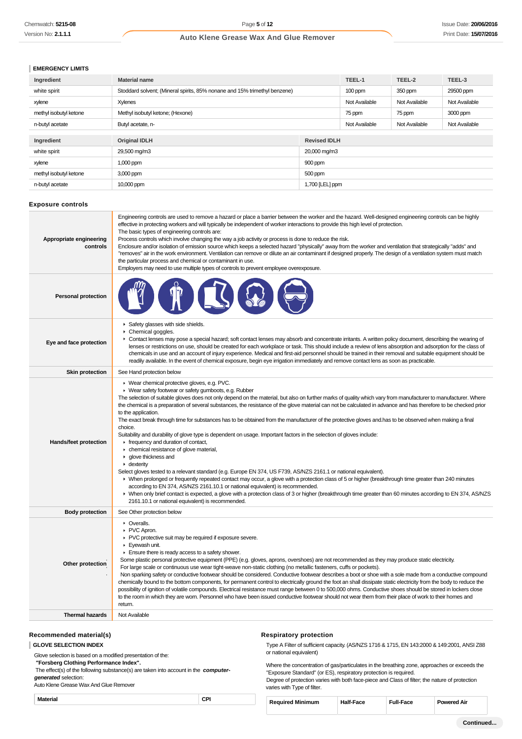## **EMERGENCY LIMITS**

| Ingredient             | <b>Material name</b>                                                      |                 | TEEL-1        | TEEL-2        | TEEL-3        |
|------------------------|---------------------------------------------------------------------------|-----------------|---------------|---------------|---------------|
| white spirit           | Stoddard solvent; (Mineral spirits, 85% nonane and 15% trimethyl benzene) |                 | $100$ ppm     | 350 ppm       | 29500 ppm     |
| xylene                 | <b>Xylenes</b>                                                            |                 | Not Available | Not Available | Not Available |
| methyl isobutyl ketone | Methyl isobutyl ketone; (Hexone)                                          |                 | 75 ppm        | 75 ppm        | 3000 ppm      |
| n-butyl acetate        | Butyl acetate, n-                                                         |                 | Not Available | Not Available | Not Available |
|                        |                                                                           |                 |               |               |               |
| Ingredient             | <b>Original IDLH</b><br><b>Revised IDLH</b>                               |                 |               |               |               |
| white spirit           | 29,500 mg/m3<br>20,000 mg/m3                                              |                 |               |               |               |
| xylene                 | 1,000 ppm<br>900 ppm                                                      |                 |               |               |               |
| methyl isobutyl ketone | 500 ppm<br>3,000 ppm                                                      |                 |               |               |               |
| n-butyl acetate        | 10,000 ppm                                                                | 1,700 [LEL] ppm |               |               |               |

#### **Exposure controls**

| Appropriate engineering<br>controls | Engineering controls are used to remove a hazard or place a barrier between the worker and the hazard. Well-designed engineering controls can be highly<br>effective in protecting workers and will typically be independent of worker interactions to provide this high level of protection.<br>The basic types of engineering controls are:<br>Process controls which involve changing the way a job activity or process is done to reduce the risk.<br>Enclosure and/or isolation of emission source which keeps a selected hazard "physically" away from the worker and ventilation that strategically "adds" and<br>"removes" air in the work environment. Ventilation can remove or dilute an air contaminant if designed properly. The design of a ventilation system must match<br>the particular process and chemical or contaminant in use.<br>Employers may need to use multiple types of controls to prevent employee overexposure.                                                                                                                                                                                                                                                                                                                                                                                                                                                                                                                                                                           |
|-------------------------------------|---------------------------------------------------------------------------------------------------------------------------------------------------------------------------------------------------------------------------------------------------------------------------------------------------------------------------------------------------------------------------------------------------------------------------------------------------------------------------------------------------------------------------------------------------------------------------------------------------------------------------------------------------------------------------------------------------------------------------------------------------------------------------------------------------------------------------------------------------------------------------------------------------------------------------------------------------------------------------------------------------------------------------------------------------------------------------------------------------------------------------------------------------------------------------------------------------------------------------------------------------------------------------------------------------------------------------------------------------------------------------------------------------------------------------------------------------------------------------------------------------------------------------|
| <b>Personal protection</b>          |                                                                                                                                                                                                                                                                                                                                                                                                                                                                                                                                                                                                                                                                                                                                                                                                                                                                                                                                                                                                                                                                                                                                                                                                                                                                                                                                                                                                                                                                                                                           |
| Eye and face protection             | Safety glasses with side shields.<br>Chemical goggles.<br>► Contact lenses may pose a special hazard; soft contact lenses may absorb and concentrate irritants. A written policy document, describing the wearing of<br>lenses or restrictions on use, should be created for each workplace or task. This should include a review of lens absorption and adsorption for the class of<br>chemicals in use and an account of injury experience. Medical and first-aid personnel should be trained in their removal and suitable equipment should be<br>readily available. In the event of chemical exposure, begin eye irrigation immediately and remove contact lens as soon as practicable.                                                                                                                                                                                                                                                                                                                                                                                                                                                                                                                                                                                                                                                                                                                                                                                                                               |
| <b>Skin protection</b>              | See Hand protection below                                                                                                                                                                                                                                                                                                                                                                                                                                                                                                                                                                                                                                                                                                                                                                                                                                                                                                                                                                                                                                                                                                                                                                                                                                                                                                                                                                                                                                                                                                 |
| Hands/feet protection               | ▶ Wear chemical protective gloves, e.g. PVC.<br>• Wear safety footwear or safety gumboots, e.g. Rubber<br>The selection of suitable gloves does not only depend on the material, but also on further marks of quality which vary from manufacturer to manufacturer. Where<br>the chemical is a preparation of several substances, the resistance of the glove material can not be calculated in advance and has therefore to be checked prior<br>to the application.<br>The exact break through time for substances has to be obtained from the manufacturer of the protective gloves and has to be observed when making a final<br>choice.<br>Suitability and durability of glove type is dependent on usage. Important factors in the selection of gloves include:<br>$\blacktriangleright$ frequency and duration of contact,<br>• chemical resistance of glove material,<br>glove thickness and<br>$\blacktriangleright$ dexterity<br>Select gloves tested to a relevant standard (e.g. Europe EN 374, US F739, AS/NZS 2161.1 or national equivalent).<br>▶ When prolonged or frequently repeated contact may occur, a glove with a protection class of 5 or higher (breakthrough time greater than 240 minutes<br>according to EN 374, AS/NZS 2161.10.1 or national equivalent) is recommended.<br>> When only brief contact is expected, a glove with a protection class of 3 or higher (breakthrough time greater than 60 minutes according to EN 374, AS/NZS<br>2161.10.1 or national equivalent) is recommended. |
| <b>Body protection</b>              | See Other protection below                                                                                                                                                                                                                                                                                                                                                                                                                                                                                                                                                                                                                                                                                                                                                                                                                                                                                                                                                                                                                                                                                                                                                                                                                                                                                                                                                                                                                                                                                                |
| Other protection                    | • Overalls.<br>PVC Apron.<br>▶ PVC protective suit may be required if exposure severe.<br>Eyewash unit.<br>Ensure there is ready access to a safety shower.<br>Some plastic personal protective equipment (PPE) (e.g. gloves, aprons, overshoes) are not recommended as they may produce static electricity.<br>For large scale or continuous use wear tight-weave non-static clothing (no metallic fasteners, cuffs or pockets).<br>Non sparking safety or conductive footwear should be considered. Conductive footwear describes a boot or shoe with a sole made from a conductive compound<br>chemically bound to the bottom components, for permanent control to electrically ground the foot an shall dissipate static electricity from the body to reduce the<br>possibility of ignition of volatile compounds. Electrical resistance must range between 0 to 500,000 ohms. Conductive shoes should be stored in lockers close<br>to the room in which they are worn. Personnel who have been issued conductive footwear should not wear them from their place of work to their homes and<br>return.                                                                                                                                                                                                                                                                                                                                                                                                               |
| <b>Thermal hazards</b>              | Not Available                                                                                                                                                                                                                                                                                                                                                                                                                                                                                                                                                                                                                                                                                                                                                                                                                                                                                                                                                                                                                                                                                                                                                                                                                                                                                                                                                                                                                                                                                                             |

#### **Recommended material(s)**

**GLOVE SELECTION INDEX**

Glove selection is based on a modified presentation of the:

 **"Forsberg Clothing Performance Index".**

 The effect(s) of the following substance(s) are taken into account in the **computergenerated** selection:

Auto Klene Grease Wax And Glue Remover

**Material CPI**

#### **Respiratory protection**

Type A Filter of sufficient capacity. (AS/NZS 1716 & 1715, EN 143:2000 & 149:2001, ANSI Z88 or national equivalent)

Where the concentration of gas/particulates in the breathing zone, approaches or exceeds the "Exposure Standard" (or ES), respiratory protection is required. Degree of protection varies with both face-piece and Class of filter; the nature of protection varies with Type of filter.

| <b>Required Minimum</b> | <b>Half-Face</b> | <b>Full-Face</b> | <b>Powered Air</b> |  |
|-------------------------|------------------|------------------|--------------------|--|
|                         |                  |                  |                    |  |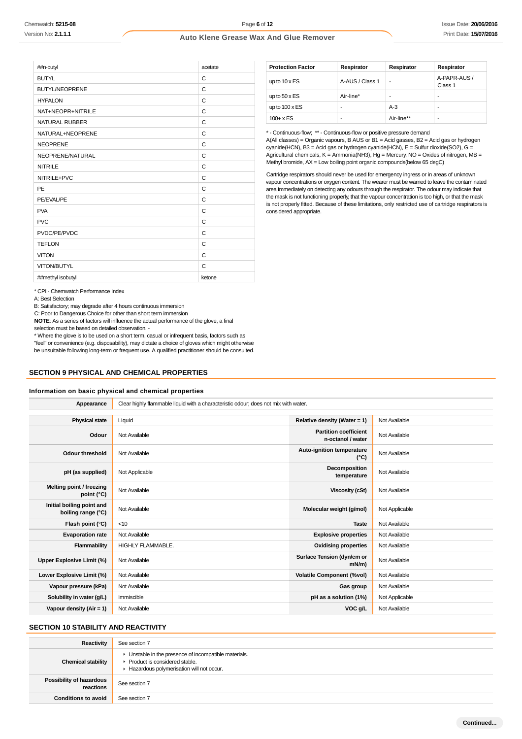| ##n-butyl             | acetate |
|-----------------------|---------|
| <b>BUTYL</b>          | C       |
| <b>BUTYL/NEOPRENE</b> | C       |
| <b>HYPALON</b>        | C       |
| NAT+NEOPR+NITRILE     | C       |
| <b>NATURAL RUBBER</b> | C       |
| NATURAL+NEOPRENE      | C       |
| <b>NEOPRENE</b>       | C       |
| NEOPRENE/NATURAL      | C       |
| <b>NITRILE</b>        | C       |
| NITRILE+PVC           | C       |
| PE                    | C       |
| PE/EVAL/PE            | C       |
| <b>PVA</b>            | C       |
| <b>PVC</b>            | C       |
| PVDC/PE/PVDC          | C       |
| <b>TEFLON</b>         | C       |
| <b>VITON</b>          | C       |
| VITON/BUTYL           | C       |
| ##methyl isobutyl     | ketone  |
|                       |         |

| Respirator      | Respirator | Respirator              |
|-----------------|------------|-------------------------|
| A-AUS / Class 1 | ۰          | A-PAPR-AUS /<br>Class 1 |
| Air-line*       |            | ۰                       |
|                 | $A-3$      | ۰                       |
|                 | Air-line** | ۰                       |
|                 |            |                         |

\* - Continuous-flow; \*\* - Continuous-flow or positive pressure demand

A(All classes) = Organic vapours, B AUS or B1 = Acid gasses, B2 = Acid gas or hydrogen cyanide(HCN), B3 = Acid gas or hydrogen cyanide(HCN), E = Sulfur dioxide(SO2), G = Agricultural chemicals, K = Ammonia(NH3), Hg = Mercury, NO = Oxides of nitrogen, MB = Methyl bromide, AX = Low boiling point organic compounds(below 65 degC)

Cartridge respirators should never be used for emergency ingress or in areas of unknown vapour concentrations or oxygen content. The wearer must be warned to leave the contaminated area immediately on detecting any odours through the respirator. The odour may indicate that the mask is not functioning properly, that the vapour concentration is too high, or that the mask is not properly fitted. Because of these limitations, only restricted use of cartridge respirators is considered appropriate.

\* CPI - Chemwatch Performance Index

A: Best Selection

B: Satisfactory; may degrade after 4 hours continuous immersion

C: Poor to Dangerous Choice for other than short term immersion

**NOTE**: As a series of factors will influence the actual performance of the glove, a final selection must be based on detailed observation. -

\* Where the glove is to be used on a short term, casual or infrequent basis, factors such as "feel" or convenience (e.g. disposability), may dictate a choice of gloves which might otherwise be unsuitable following long-term or frequent use. A qualified practitioner should be consulted.

## **SECTION 9 PHYSICAL AND CHEMICAL PROPERTIES**

#### **Information on basic physical and chemical properties**

| Appearance                                      | Clear highly flammable liquid with a characteristic odour; does not mix with water. |                                                   |                |
|-------------------------------------------------|-------------------------------------------------------------------------------------|---------------------------------------------------|----------------|
|                                                 |                                                                                     |                                                   |                |
| <b>Physical state</b>                           | Liquid                                                                              | Relative density (Water = 1)                      | Not Available  |
| Odour                                           | Not Available                                                                       | <b>Partition coefficient</b><br>n-octanol / water | Not Available  |
| <b>Odour threshold</b>                          | Not Available                                                                       | Auto-ignition temperature<br>$(^{\circ}C)$        | Not Available  |
| pH (as supplied)                                | Not Applicable                                                                      | Decomposition<br>temperature                      | Not Available  |
| Melting point / freezing<br>point (°C)          | Not Available                                                                       | <b>Viscosity (cSt)</b>                            | Not Available  |
| Initial boiling point and<br>boiling range (°C) | Not Available                                                                       | Molecular weight (g/mol)                          | Not Applicable |
| Flash point (°C)                                | $<$ 10                                                                              | <b>Taste</b>                                      | Not Available  |
| <b>Evaporation rate</b>                         | Not Available                                                                       | <b>Explosive properties</b>                       | Not Available  |
| Flammability                                    | HIGHLY FLAMMABLE.                                                                   | <b>Oxidising properties</b>                       | Not Available  |
| Upper Explosive Limit (%)                       | Not Available                                                                       | Surface Tension (dyn/cm or<br>$mN/m$ )            | Not Available  |
| Lower Explosive Limit (%)                       | Not Available                                                                       | <b>Volatile Component (%vol)</b>                  | Not Available  |
| Vapour pressure (kPa)                           | Not Available                                                                       | Gas group                                         | Not Available  |
| Solubility in water (g/L)                       | Immiscible                                                                          | pH as a solution (1%)                             | Not Applicable |
| Vapour density ( $Air = 1$ )                    | Not Available                                                                       | VOC g/L                                           | Not Available  |

## **SECTION 10 STABILITY AND REACTIVITY**

| Reactivity                            | See section 7                                                                                                                        |
|---------------------------------------|--------------------------------------------------------------------------------------------------------------------------------------|
| <b>Chemical stability</b>             | • Unstable in the presence of incompatible materials.<br>▶ Product is considered stable.<br>Hazardous polymerisation will not occur. |
| Possibility of hazardous<br>reactions | See section 7                                                                                                                        |
| <b>Conditions to avoid</b>            | See section 7                                                                                                                        |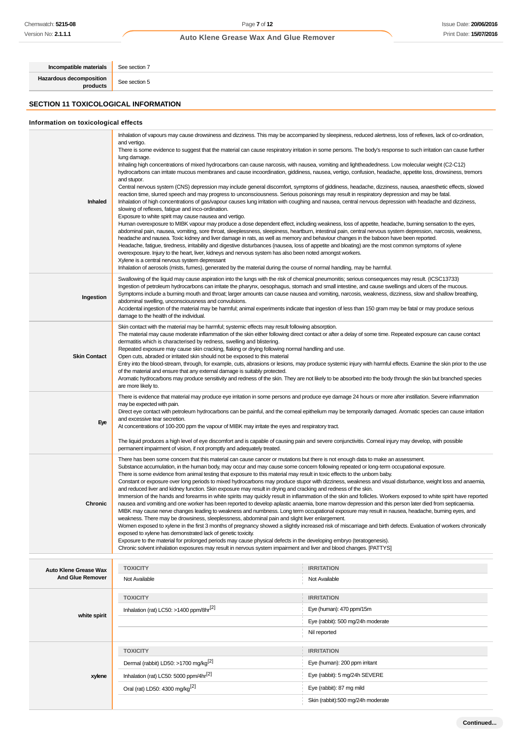**Hazardous decomposition**

**Incompatible materials** See section 7

See section 5

# **SECTION 11 TOXICOLOGICAL INFORMATION**

## **Information on toxicological effects**

| Inhaled                                                 | Inhalation of vapours may cause drowsiness and dizziness. This may be accompanied by sleepiness, reduced alertness, loss of reflexes, lack of co-ordination,<br>and vertigo.<br>There is some evidence to suggest that the material can cause respiratory irritation in some persons. The body's response to such irritation can cause further<br>lung damage.<br>Inhaling high concentrations of mixed hydrocarbons can cause narcosis, with nausea, vomiting and lightheadedness. Low molecular weight (C2-C12)<br>hydrocarbons can irritate mucous membranes and cause incoordination, giddiness, nausea, vertigo, confusion, headache, appetite loss, drowsiness, tremors<br>and stupor.<br>Central nervous system (CNS) depression may include general discomfort, symptoms of giddiness, headache, dizziness, nausea, anaesthetic effects, slowed<br>reaction time, slurred speech and may progress to unconsciousness. Serious poisonings may result in respiratory depression and may be fatal.<br>Inhalation of high concentrations of gas/vapour causes lung irritation with coughing and nausea, central nervous depression with headache and dizziness,<br>slowing of reflexes, fatigue and inco-ordination.<br>Exposure to white spirit may cause nausea and vertigo.<br>Human overexposure to MIBK vapour may produce a dose dependent effect, including weakness, loss of appetite, headache, burning sensation to the eyes,<br>abdominal pain, nausea, vomiting, sore throat, sleeplessness, sleepiness, heartburn, intestinal pain, central nervous system depression, narcosis, weakness,<br>headache and nausea. Toxic kidney and liver damage in rats, as well as memory and behaviour changes in the baboon have been reported.<br>Headache, fatigue, tiredness, irritability and digestive disturbances (nausea, loss of appetite and bloating) are the most common symptoms of xylene<br>overexposure. Injury to the heart, liver, kidneys and nervous system has also been noted amongst workers.<br>Xylene is a central nervous system depressant |                                                                                                    |  |
|---------------------------------------------------------|----------------------------------------------------------------------------------------------------------------------------------------------------------------------------------------------------------------------------------------------------------------------------------------------------------------------------------------------------------------------------------------------------------------------------------------------------------------------------------------------------------------------------------------------------------------------------------------------------------------------------------------------------------------------------------------------------------------------------------------------------------------------------------------------------------------------------------------------------------------------------------------------------------------------------------------------------------------------------------------------------------------------------------------------------------------------------------------------------------------------------------------------------------------------------------------------------------------------------------------------------------------------------------------------------------------------------------------------------------------------------------------------------------------------------------------------------------------------------------------------------------------------------------------------------------------------------------------------------------------------------------------------------------------------------------------------------------------------------------------------------------------------------------------------------------------------------------------------------------------------------------------------------------------------------------------------------------------------------------------------------------------------------------------------------------------------------|----------------------------------------------------------------------------------------------------|--|
| Ingestion                                               | Inhalation of aerosols (mists, fumes), generated by the material during the course of normal handling, may be harmful.<br>Swallowing of the liquid may cause aspiration into the lungs with the risk of chemical pneumonitis; serious consequences may result. (ICSC13733)<br>Ingestion of petroleum hydrocarbons can irritate the pharynx, oesophagus, stomach and small intestine, and cause swellings and ulcers of the mucous.<br>Symptoms include a burning mouth and throat; larger amounts can cause nausea and vomiting, narcosis, weakness, dizziness, slow and shallow breathing,<br>abdominal swelling, unconsciousness and convulsions.<br>Accidental ingestion of the material may be harmful; animal experiments indicate that ingestion of less than 150 gram may be fatal or may produce serious<br>damage to the health of the individual.                                                                                                                                                                                                                                                                                                                                                                                                                                                                                                                                                                                                                                                                                                                                                                                                                                                                                                                                                                                                                                                                                                                                                                                                                |                                                                                                    |  |
| <b>Skin Contact</b>                                     | Skin contact with the material may be harmful; systemic effects may result following absorption.<br>The material may cause moderate inflammation of the skin either following direct contact or after a delay of some time. Repeated exposure can cause contact<br>dermatitis which is characterised by redness, swelling and blistering.<br>Repeated exposure may cause skin cracking, flaking or drying following normal handling and use.<br>Open cuts, abraded or irritated skin should not be exposed to this material<br>Entry into the blood-stream, through, for example, cuts, abrasions or lesions, may produce systemic injury with harmful effects. Examine the skin prior to the use<br>of the material and ensure that any external damage is suitably protected.<br>Aromatic hydrocarbons may produce sensitivity and redness of the skin. They are not likely to be absorbed into the body through the skin but branched species<br>are more likely to.                                                                                                                                                                                                                                                                                                                                                                                                                                                                                                                                                                                                                                                                                                                                                                                                                                                                                                                                                                                                                                                                                                    |                                                                                                    |  |
| Eye                                                     | There is evidence that material may produce eye irritation in some persons and produce eye damage 24 hours or more after instillation. Severe inflammation<br>may be expected with pain.<br>Direct eye contact with petroleum hydrocarbons can be painful, and the corneal epithelium may be temporarily damaged. Aromatic species can cause irritation<br>and excessive tear secretion.<br>At concentrations of 100-200 ppm the vapour of MIBK may irritate the eyes and respiratory tract.<br>The liquid produces a high level of eye discomfort and is capable of causing pain and severe conjunctivitis. Corneal injury may develop, with possible<br>permanent impairment of vision, if not promptly and adequately treated.                                                                                                                                                                                                                                                                                                                                                                                                                                                                                                                                                                                                                                                                                                                                                                                                                                                                                                                                                                                                                                                                                                                                                                                                                                                                                                                                          |                                                                                                    |  |
| <b>Chronic</b>                                          | There has been some concern that this material can cause cancer or mutations but there is not enough data to make an assessment.<br>Substance accumulation, in the human body, may occur and may cause some concern following repeated or long-term occupational exposure.<br>There is some evidence from animal testing that exposure to this material may result in toxic effects to the unborn baby.<br>Constant or exposure over long periods to mixed hydrocarbons may produce stupor with dizziness, weakness and visual disturbance, weight loss and anaemia,<br>and reduced liver and kidney function. Skin exposure may result in drying and cracking and redness of the skin.<br>Immersion of the hands and forearms in white spirits may quickly result in inflammation of the skin and follicles. Workers exposed to white spirit have reported<br>nausea and vomiting and one worker has been reported to develop aplastic anaemia, bone marrow depression and this person later died from septicaemia.<br>MIBK may cause nerve changes leading to weakness and numbness. Long term occupational exposure may result in nausea, headache, burning eyes, and<br>weakness. There may be drowsiness, sleeplessness, abdominal pain and slight liver enlargement.<br>Women exposed to xylene in the first 3 months of pregnancy showed a slightly increased risk of miscarriage and birth defects. Evaluation of workers chronically<br>exposed to xylene has demonstrated lack of genetic toxicity.<br>Exposure to the material for prolonged periods may cause physical defects in the developing embryo (teratogenesis).<br>Chronic solvent inhalation exposures may result in nervous system impairment and liver and blood changes. [PATTYS]                                                                                                                                                                                                                                                                                                                 |                                                                                                    |  |
|                                                         | <b>TOXICITY</b>                                                                                                                                                                                                                                                                                                                                                                                                                                                                                                                                                                                                                                                                                                                                                                                                                                                                                                                                                                                                                                                                                                                                                                                                                                                                                                                                                                                                                                                                                                                                                                                                                                                                                                                                                                                                                                                                                                                                                                                                                                                            | <b>IRRITATION</b>                                                                                  |  |
| <b>Auto Klene Grease Wax</b><br><b>And Glue Remover</b> | Not Available                                                                                                                                                                                                                                                                                                                                                                                                                                                                                                                                                                                                                                                                                                                                                                                                                                                                                                                                                                                                                                                                                                                                                                                                                                                                                                                                                                                                                                                                                                                                                                                                                                                                                                                                                                                                                                                                                                                                                                                                                                                              | Not Available                                                                                      |  |
| white spirit                                            | <b>TOXICITY</b><br>Inhalation (rat) LC50: >1400 ppm/8hr[2]                                                                                                                                                                                                                                                                                                                                                                                                                                                                                                                                                                                                                                                                                                                                                                                                                                                                                                                                                                                                                                                                                                                                                                                                                                                                                                                                                                                                                                                                                                                                                                                                                                                                                                                                                                                                                                                                                                                                                                                                                 | <b>IRRITATION</b><br>Eye (human): 470 ppm/15m<br>Eye (rabbit): 500 mg/24h moderate<br>Nil reported |  |
|                                                         | <b>TOXICITY</b>                                                                                                                                                                                                                                                                                                                                                                                                                                                                                                                                                                                                                                                                                                                                                                                                                                                                                                                                                                                                                                                                                                                                                                                                                                                                                                                                                                                                                                                                                                                                                                                                                                                                                                                                                                                                                                                                                                                                                                                                                                                            | <b>IRRITATION</b>                                                                                  |  |
|                                                         | Dermal (rabbit) LD50: >1700 mg/kg <sup>[2]</sup>                                                                                                                                                                                                                                                                                                                                                                                                                                                                                                                                                                                                                                                                                                                                                                                                                                                                                                                                                                                                                                                                                                                                                                                                                                                                                                                                                                                                                                                                                                                                                                                                                                                                                                                                                                                                                                                                                                                                                                                                                           | Eye (human): 200 ppm irritant                                                                      |  |
| xylene                                                  | Inhalation (rat) LC50: 5000 ppm/4hr <sup>[2]</sup>                                                                                                                                                                                                                                                                                                                                                                                                                                                                                                                                                                                                                                                                                                                                                                                                                                                                                                                                                                                                                                                                                                                                                                                                                                                                                                                                                                                                                                                                                                                                                                                                                                                                                                                                                                                                                                                                                                                                                                                                                         | Eye (rabbit): 5 mg/24h SEVERE                                                                      |  |
|                                                         | Oral (rat) LD50: 4300 mg/kg <sup>[2]</sup>                                                                                                                                                                                                                                                                                                                                                                                                                                                                                                                                                                                                                                                                                                                                                                                                                                                                                                                                                                                                                                                                                                                                                                                                                                                                                                                                                                                                                                                                                                                                                                                                                                                                                                                                                                                                                                                                                                                                                                                                                                 | Eye (rabbit): 87 mg mild                                                                           |  |
|                                                         |                                                                                                                                                                                                                                                                                                                                                                                                                                                                                                                                                                                                                                                                                                                                                                                                                                                                                                                                                                                                                                                                                                                                                                                                                                                                                                                                                                                                                                                                                                                                                                                                                                                                                                                                                                                                                                                                                                                                                                                                                                                                            | Skin (rabbit):500 mg/24h moderate                                                                  |  |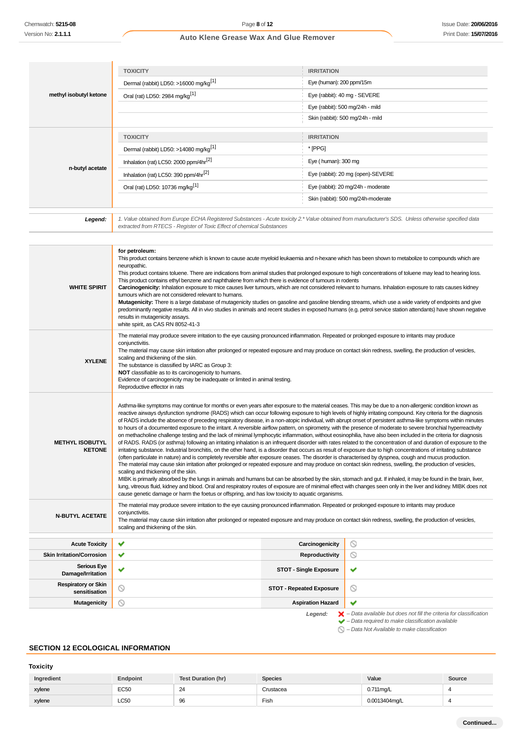|                        | <b>TOXICITY</b>                                    | <b>IRRITATION</b>                  |
|------------------------|----------------------------------------------------|------------------------------------|
| methyl isobutyl ketone | Dermal (rabbit) LD50: >16000 mg/kg <sup>[1]</sup>  | Eye (human): 200 ppm/15m           |
|                        | Oral (rat) LD50: 2984 mg/kg <sup>[1]</sup>         | Eye (rabbit): 40 mg - SEVERE       |
|                        |                                                    | Eye (rabbit): 500 mg/24h - mild    |
|                        |                                                    | Skin (rabbit): 500 mg/24h - mild   |
|                        | <b>TOXICITY</b>                                    | <b>IRRITATION</b>                  |
|                        | Dermal (rabbit) LD50: >14080 mg/kg <sup>[1]</sup>  | * [PPG]                            |
|                        | Inhalation (rat) LC50: 2000 ppm/4hr <sup>[2]</sup> | Eye (human): 300 mg                |
| n-butyl acetate        | Inhalation (rat) LC50: 390 ppm/4hr <sup>[2]</sup>  | Eye (rabbit): 20 mg (open)-SEVERE  |
|                        | Oral (rat) LD50: 10736 mg/kg <sup>[1]</sup>        | Eye (rabbit): 20 mg/24h - moderate |
|                        |                                                    | Skin (rabbit): 500 mg/24h-moderate |
|                        |                                                    |                                    |

1. Value obtained from Europe ECHA Registered Substances - Acute toxicity 2.\* Value obtained from manufacturer's SDS. Unless otherwise specified data<br>extracted from RTECS - Register of Toxic Effect of chemical Substances

| <b>WHITE SPIRIT</b>                         | for petroleum:<br>This product contains benzene which is known to cause acute myeloid leukaemia and n-hexane which has been shown to metabolize to compounds which are<br>neuropathic.<br>This product contains toluene. There are indications from animal studies that prolonged exposure to high concentrations of toluene may lead to hearing loss.<br>This product contains ethyl benzene and naphthalene from which there is evidence of tumours in rodents<br>Carcinogenicity: Inhalation exposure to mice causes liver tumours, which are not considered relevant to humans. Inhalation exposure to rats causes kidney<br>tumours which are not considered relevant to humans.<br>Mutagenicity: There is a large database of mutagenicity studies on gasoline and gasoline blending streams, which use a wide variety of endpoints and give<br>predominantly negative results. All in vivo studies in animals and recent studies in exposed humans (e.g. petrol service station attendants) have shown negative<br>results in mutagenicity assays.<br>white spirit, as CAS RN 8052-41-3                                                                                                                                                                                                                                                                                                                                                                                                                                                                                                                                                                                                                                                                                                                                                                                                                                                                                              |                                 |                                                                                                                                                                    |
|---------------------------------------------|---------------------------------------------------------------------------------------------------------------------------------------------------------------------------------------------------------------------------------------------------------------------------------------------------------------------------------------------------------------------------------------------------------------------------------------------------------------------------------------------------------------------------------------------------------------------------------------------------------------------------------------------------------------------------------------------------------------------------------------------------------------------------------------------------------------------------------------------------------------------------------------------------------------------------------------------------------------------------------------------------------------------------------------------------------------------------------------------------------------------------------------------------------------------------------------------------------------------------------------------------------------------------------------------------------------------------------------------------------------------------------------------------------------------------------------------------------------------------------------------------------------------------------------------------------------------------------------------------------------------------------------------------------------------------------------------------------------------------------------------------------------------------------------------------------------------------------------------------------------------------------------------------------------------------------------------------------------------------------------------|---------------------------------|--------------------------------------------------------------------------------------------------------------------------------------------------------------------|
| <b>XYLENE</b>                               | The material may produce severe irritation to the eye causing pronounced inflammation. Repeated or prolonged exposure to irritants may produce<br>conjunctivitis.<br>The material may cause skin irritation after prolonged or repeated exposure and may produce on contact skin redness, swelling, the production of vesicles,<br>scaling and thickening of the skin.<br>The substance is classified by IARC as Group 3:<br>NOT classifiable as to its carcinogenicity to humans.<br>Evidence of carcinogenicity may be inadequate or limited in animal testing.<br>Reproductive effector in rats                                                                                                                                                                                                                                                                                                                                                                                                                                                                                                                                                                                                                                                                                                                                                                                                                                                                                                                                                                                                                                                                                                                                                                                                                                                                                                                                                                                          |                                 |                                                                                                                                                                    |
| <b>METHYL ISOBUTYL</b><br><b>KETONE</b>     | Asthma-like symptoms may continue for months or even years after exposure to the material ceases. This may be due to a non-allergenic condition known as<br>reactive airways dysfunction syndrome (RADS) which can occur following exposure to high levels of highly irritating compound. Key criteria for the diagnosis<br>of RADS include the absence of preceding respiratory disease, in a non-atopic individual, with abrupt onset of persistent asthma-like symptoms within minutes<br>to hours of a documented exposure to the irritant. A reversible airflow pattern, on spirometry, with the presence of moderate to severe bronchial hyperreactivity<br>on methacholine challenge testing and the lack of minimal lymphocytic inflammation, without eosinophilia, have also been included in the criteria for diagnosis<br>of RADS. RADS (or asthma) following an irritating inhalation is an infrequent disorder with rates related to the concentration of and duration of exposure to the<br>irritating substance. Industrial bronchitis, on the other hand, is a disorder that occurs as result of exposure due to high concentrations of irritating substance<br>(often particulate in nature) and is completely reversible after exposure ceases. The disorder is characterised by dyspnea, cough and mucus production.<br>The material may cause skin irritation after prolonged or repeated exposure and may produce on contact skin redness, swelling, the production of vesicles,<br>scaling and thickening of the skin.<br>MIBK is primarily absorbed by the lungs in animals and humans but can be absorbed by the skin, stomach and gut. If inhaled, it may be found in the brain, liver,<br>lung, vitreous fluid, kidney and blood. Oral and respiratory routes of exposure are of minimal effect with changes seen only in the liver and kidney. MIBK does not<br>cause genetic damage or harm the foetus or offspring, and has low toxicity to aquatic organisms. |                                 |                                                                                                                                                                    |
| <b>N-BUTYL ACETATE</b>                      | The material may produce severe irritation to the eye causing pronounced inflammation. Repeated or prolonged exposure to irritants may produce<br>conjunctivitis.<br>The material may cause skin irritation after prolonged or repeated exposure and may produce on contact skin redness, swelling, the production of vesicles,<br>scaling and thickening of the skin.                                                                                                                                                                                                                                                                                                                                                                                                                                                                                                                                                                                                                                                                                                                                                                                                                                                                                                                                                                                                                                                                                                                                                                                                                                                                                                                                                                                                                                                                                                                                                                                                                      |                                 |                                                                                                                                                                    |
| <b>Acute Toxicity</b>                       | ✔                                                                                                                                                                                                                                                                                                                                                                                                                                                                                                                                                                                                                                                                                                                                                                                                                                                                                                                                                                                                                                                                                                                                                                                                                                                                                                                                                                                                                                                                                                                                                                                                                                                                                                                                                                                                                                                                                                                                                                                           | Carcinogenicity                 | $\circledcirc$                                                                                                                                                     |
| <b>Skin Irritation/Corrosion</b>            | ✔                                                                                                                                                                                                                                                                                                                                                                                                                                                                                                                                                                                                                                                                                                                                                                                                                                                                                                                                                                                                                                                                                                                                                                                                                                                                                                                                                                                                                                                                                                                                                                                                                                                                                                                                                                                                                                                                                                                                                                                           | <b>Reproductivity</b>           | $\circ$                                                                                                                                                            |
| <b>Serious Eye</b><br>Damage/Irritation     | ✔                                                                                                                                                                                                                                                                                                                                                                                                                                                                                                                                                                                                                                                                                                                                                                                                                                                                                                                                                                                                                                                                                                                                                                                                                                                                                                                                                                                                                                                                                                                                                                                                                                                                                                                                                                                                                                                                                                                                                                                           | <b>STOT - Single Exposure</b>   | ✔                                                                                                                                                                  |
| <b>Respiratory or Skin</b><br>sensitisation | $\circledcirc$                                                                                                                                                                                                                                                                                                                                                                                                                                                                                                                                                                                                                                                                                                                                                                                                                                                                                                                                                                                                                                                                                                                                                                                                                                                                                                                                                                                                                                                                                                                                                                                                                                                                                                                                                                                                                                                                                                                                                                              | <b>STOT - Repeated Exposure</b> | $\circledcirc$                                                                                                                                                     |
| <b>Mutagenicity</b>                         | ◎                                                                                                                                                                                                                                                                                                                                                                                                                                                                                                                                                                                                                                                                                                                                                                                                                                                                                                                                                                                                                                                                                                                                                                                                                                                                                                                                                                                                                                                                                                                                                                                                                                                                                                                                                                                                                                                                                                                                                                                           | <b>Aspiration Hazard</b>        | ✔                                                                                                                                                                  |
|                                             |                                                                                                                                                                                                                                                                                                                                                                                                                                                                                                                                                                                                                                                                                                                                                                                                                                                                                                                                                                                                                                                                                                                                                                                                                                                                                                                                                                                                                                                                                                                                                                                                                                                                                                                                                                                                                                                                                                                                                                                             | Legend:                         | $\blacktriangleright$ - Data available but does not fill the criteria for classification<br>$\blacktriangleright$ - Data required to make classification available |

 $\bigcirc$  – Data Not Available to make classification

## **SECTION 12 ECOLOGICAL INFORMATION**

## **Toxicity**

| Ingredient | <b>Endpoint</b> | <b>Test Duration (hr)</b> | <b>Species</b> | Value         | Source |
|------------|-----------------|---------------------------|----------------|---------------|--------|
| xylene     | <b>EC50</b>     | 24                        | Crustacea      | $0.711$ ma/L  |        |
| xylene     | LC50            | 96                        | Fish           | 0.0013404mg/L |        |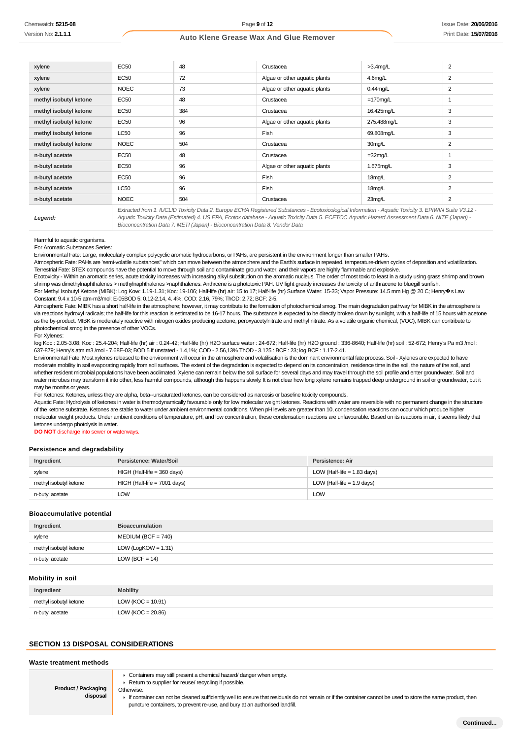| <b>EC50</b> | 48  | Crustacea                     | $>3.4$ mg/L | $\overline{2}$ |
|-------------|-----|-------------------------------|-------------|----------------|
| <b>EC50</b> | 72  | Algae or other aquatic plants | $4.6$ mg/L  | 2              |
| <b>NOEC</b> | 73  | Algae or other aquatic plants | $0.44$ mg/L | 2              |
| <b>EC50</b> | 48  | Crustacea                     | $=170$ mg/L |                |
| <b>EC50</b> | 384 | Crustacea                     | 16.425mg/L  | 3              |
| <b>EC50</b> | 96  | Algae or other aquatic plants | 275.488mg/L | 3              |
| <b>LC50</b> | 96  | Fish                          | 69.808mg/L  | 3              |
| <b>NOEC</b> | 504 | Crustacea                     | 30mg/L      | 2              |
| <b>EC50</b> | 48  | Crustacea                     | $=32$ mg/L  | 1              |
| <b>EC50</b> | 96  | Algae or other aquatic plants | 1.675mg/L   | 3              |
| <b>EC50</b> | 96  | Fish                          | 18mg/L      | 2              |
| <b>LC50</b> | 96  | Fish                          | 18mg/L      | 2              |
| <b>NOEC</b> | 504 | Crustacea                     | 23mg/L      | 2              |
|             |     |                               |             |                |

```
Legend:
```
Extracted from 1. IUCLID Toxicity Data 2. Europe ECHA Registered Substances - Ecotoxicological Information - Aquatic Toxicity 3. EPIWIN Suite V3.12 - Aquatic Toxicity Data (Estimated) 4. US EPA, Ecotox database - Aquatic Toxicity Data 5. ECETOC Aquatic Hazard Assessment Data 6. NITE (Japan) - Bioconcentration Data 7. METI (Japan) - Bioconcentration Data 8. Vendor Data

Harmful to aquatic organisms.

For Aromatic Substances Series:

Environmental Fate: Large, molecularly complex polycyclic aromatic hydrocarbons, or PAHs, are persistent in the environment longer than smaller PAHs.

Atmospheric Fate: PAHs are 'semi-volatile substances" which can move between the atmosphere and the Earth's surface in repeated, temperature-driven cycles of deposition and volatilization. Terrestrial Fate: BTEX compounds have the potential to move through soil and contaminate ground water, and their vapors are highly flammable and explosive.

Ecotoxicity - Within an aromatic series, acute toxicity increases with increasing alkyl substitution on the aromatic nucleus. The order of most toxic to least in a study using grass shrimp and brown shrimp was dimethylnaphthalenes > methylnaphthalenes >naphthalenes. Anthrcene is a phototoxic PAH. UV light greatly increases the toxicity of anthracene to bluegill sunfish. For Methyl Isobutyl Ketone (MIBK): Log Kow: 1.19-1.31; Koc: 19-106; Half-life (hr) air: 15 to 17; Half-life (hr) Surface Water: 15-33; Vapor Pressure: 14.5 mm Hg @ 20 C; Henry�s Law Constant: 9.4 x 10-5 atm-m3/mol; E-05BOD 5: 0.12-2.14, 4. 4%; COD: 2.16, 79%; ThOD: 2.72; BCF: 2-5.

Atmospheric Fate: MIBK has a short half-life in the atmosphere; however, it may contribute to the formation of photochemical smog. The main degradation pathway for MIBK in the atmosphere is via reactions hydroxyl radicals; the half-life for this reaction is estimated to be 16-17 hours. The substance is expected to be directly broken down by sunlight, with a half-life of 15 hours with acetone as the by-product. MIBK is moderately reactive with nitrogen oxides producing acetone, peroxyacetylnitrate and methyl nitrate. As a volatile organic chemical, (VOC), MIBK can contribute to photochemical smog in the presence of other VOCs.

For Xylenes:

log Koc : 2.05-3.08; Koc : 25.4-204; Half-life (hr) air : 0.24-42; Half-life (hr) H2O surface water : 24-672; Half-life (hr) H2O ground : 336-8640; Half-life (hr) soil : 52-672; Henry's Pa m3 /mol : 637-879; Henry's atm m3 /mol - 7.68E-03; BOD 5 if unstated - 1.4,1%; COD - 2.56,13% ThOD - 3.125 : BCF : 23; log BCF : 1.17-2.41.

Environmental Fate: Most xylenes released to the environment will occur in the atmosphere and volatilisation is the dominant environmental fate process. Soil - Xylenes are expected to have moderate mobility in soil evaporating rapidly from soil surfaces. The extent of the degradation is expected to depend on its concentration, residence time in the soil, the nature of the soil, and whether resident microbial populations have been acclimated. Xylene can remain below the soil surface for several days and may travel through the soil profile and enter groundwater. Soil and water microbes may transform it into other, less harmful compounds, although this happens slowly. It is not clear how long xylene remains trapped deep underground in soil or groundwater, but it may be months or years.

For Ketones: Ketones, unless they are alpha, beta--unsaturated ketones, can be considered as narcosis or baseline toxicity compounds.

Aquatic Fate: Hydrolysis of ketones in water is thermodynamically favourable only for low molecular weight ketones. Reactions with water are reversible with no permanent change in the structure of the ketone substrate. Ketones are stable to water under ambient environmental conditions. When pH levels are greater than 10, condensation reactions can occur which produce higher molecular weight products. Under ambient conditions of temperature, pH, and low concentration, these condensation reactions are unfavourable. Based on its reactions in air, it seems likely that ketones undergo photolysis in water.

**DO NOT** discharge into sewer or waterways

#### **Persistence and degradability**

| Ingredient             | Persistence: Water/Soil        | Persistence: Air              |
|------------------------|--------------------------------|-------------------------------|
| xylene                 | $HIGH$ (Half-life = 360 days)  | LOW (Half-life $= 1.83$ days) |
| methyl isobutyl ketone | $HIGH$ (Half-life = 7001 days) | LOW (Half-life $= 1.9$ days)  |
| n-butyl acetate        | LOW.                           | LOW                           |

#### **Bioaccumulative potential**

| Ingredient             | <b>Bioaccumulation</b> |
|------------------------|------------------------|
| xylene                 | $MEDIUM (BCF = 740)$   |
| methyl isobutyl ketone | LOW (LogKOW = $1.31$ ) |
| n-butyl acetate        | $LOW (BCF = 14)$       |

#### **Mobility in soil**

| Ingredient             | <b>Mobility</b>       |
|------------------------|-----------------------|
| methyl isobutyl ketone | LOW ( $KOC = 10.91$ ) |
| n-butyl acetate        | LOW ( $KOC = 20.86$ ) |

#### **SECTION 13 DISPOSAL CONSIDERATIONS**

#### **Waste treatment methods**

Containers may still present a chemical hazard/ danger when empty.

**Product / Packaging disposal**

▶ Return to supplier for reuse/ recycling if possible. Otherwise:

If container can not be cleaned sufficiently well to ensure that residuals do not remain or if the container cannot be used to store the same product, then puncture containers, to prevent re-use, and bury at an authorised landfill.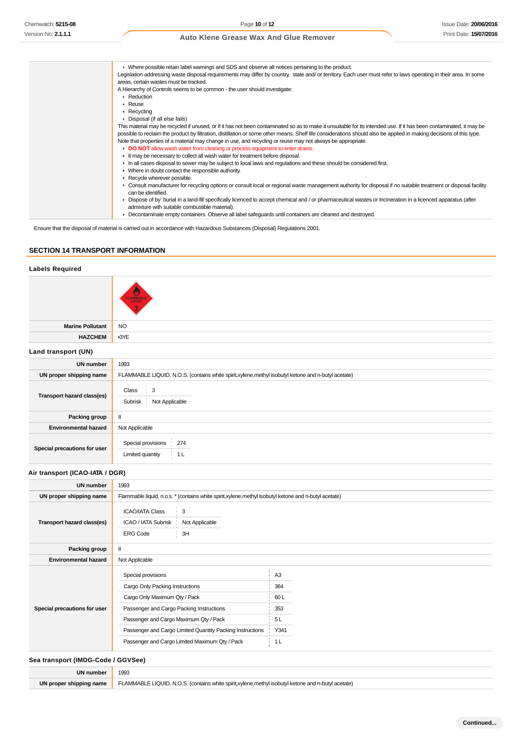| ► Where possible retain label warnings and SDS and observe all notices pertaining to the product.                                                                    |
|----------------------------------------------------------------------------------------------------------------------------------------------------------------------|
| Legislation addressing waste disposal requirements may differ by country, state and/or territory. Each user must refer to laws operating in their area. In some      |
| areas, certain wastes must be tracked.                                                                                                                               |
| A Hierarchy of Controls seems to be common - the user should investigate:                                                                                            |
| $\triangleright$ Reduction                                                                                                                                           |
| $\triangleright$ Reuse                                                                                                                                               |
| $\triangleright$ Recycling                                                                                                                                           |
| Disposal (if all else fails)                                                                                                                                         |
| This material may be recycled if unused, or if it has not been contaminated so as to make it unsuitable for its intended use. If it has been contaminated, it may be |
| possible to reclaim the product by filtration, distillation or some other means. Shelf life considerations should also be applied in making decisions of this type.  |
| Note that properties of a material may change in use, and recycling or reuse may not always be appropriate.                                                          |
| DO NOT allow wash water from cleaning or process equipment to enter drains.                                                                                          |
| It may be necessary to collect all wash water for treatment before disposal.                                                                                         |
| In all cases disposal to sewer may be subject to local laws and regulations and these should be considered first.                                                    |
| • Where in doubt contact the responsible authority.                                                                                                                  |
| Recycle wherever possible.                                                                                                                                           |
| • Consult manufacturer for recycling options or consult local or regional waste management authority for disposal if no suitable treatment or disposal facility      |
| can be identified.                                                                                                                                                   |
| • Dispose of by: burial in a land-fill specifically licenced to accept chemical and / or pharmaceutical wastes or Incineration in a licenced apparatus (after        |
| admixture with suitable combustible material).                                                                                                                       |
| Decontaminate empty containers. Observe all label safeguards until containers are cleaned and destroyed.                                                             |
|                                                                                                                                                                      |

Ensure that the disposal of material is carried out in accordance with Hazardous Substances (Disposal) Regulations 2001.

# **SECTION 14 TRANSPORT INFORMATION**

| <b>Labels Required</b>             |                                                                                                                                                                                                                                                                                             |                                                                     |  |
|------------------------------------|---------------------------------------------------------------------------------------------------------------------------------------------------------------------------------------------------------------------------------------------------------------------------------------------|---------------------------------------------------------------------|--|
|                                    |                                                                                                                                                                                                                                                                                             |                                                                     |  |
| <b>Marine Pollutant</b>            | <b>NO</b>                                                                                                                                                                                                                                                                                   |                                                                     |  |
| <b>HAZCHEM</b>                     | •3YE                                                                                                                                                                                                                                                                                        |                                                                     |  |
| Land transport (UN)                |                                                                                                                                                                                                                                                                                             |                                                                     |  |
| <b>UN number</b>                   | 1993                                                                                                                                                                                                                                                                                        |                                                                     |  |
| UN proper shipping name            | FLAMMABLE LIQUID, N.O.S. (contains white spirit,xylene,methyl isobutyl ketone and n-butyl acetate)                                                                                                                                                                                          |                                                                     |  |
| Transport hazard class(es)         | Class<br>$\mathsf 3$<br>Subrisk<br>Not Applicable                                                                                                                                                                                                                                           |                                                                     |  |
| Packing group                      | Ш                                                                                                                                                                                                                                                                                           |                                                                     |  |
| <b>Environmental hazard</b>        | Not Applicable                                                                                                                                                                                                                                                                              |                                                                     |  |
| Special precautions for user       | Special provisions<br>274<br>Limited quantity<br>1 <sub>L</sub>                                                                                                                                                                                                                             |                                                                     |  |
| Air transport (ICAO-IATA / DGR)    |                                                                                                                                                                                                                                                                                             |                                                                     |  |
| <b>UN number</b>                   | 1993                                                                                                                                                                                                                                                                                        |                                                                     |  |
| UN proper shipping name            | Flammable liquid, n.o.s. * (contains white spirit, xylene, methyl isobutyl ketone and n-butyl acetate)                                                                                                                                                                                      |                                                                     |  |
| Transport hazard class(es)         | <b>ICAO/IATA Class</b><br>3<br>ICAO / IATA Subrisk<br>Not Applicable<br><b>ERG Code</b><br>3H                                                                                                                                                                                               |                                                                     |  |
| Packing group                      | Ш                                                                                                                                                                                                                                                                                           |                                                                     |  |
| <b>Environmental hazard</b>        | Not Applicable                                                                                                                                                                                                                                                                              |                                                                     |  |
| Special precautions for user       | Special provisions<br>Cargo Only Packing Instructions<br>Cargo Only Maximum Qty / Pack<br>Passenger and Cargo Packing Instructions<br>Passenger and Cargo Maximum Qty / Pack<br>Passenger and Cargo Limited Quantity Packing Instructions<br>Passenger and Cargo Limited Maximum Qty / Pack | A <sub>3</sub><br>364<br>60L<br>353<br>5L<br>Y341<br>1 <sub>L</sub> |  |
| Sea transport (IMDG-Code / GGVSee) |                                                                                                                                                                                                                                                                                             |                                                                     |  |
| <b>UN number</b>                   | 1993                                                                                                                                                                                                                                                                                        |                                                                     |  |
| UN proper shipping name            | FLAMMABLE LIQUID, N.O.S. (contains white spirit, xylene, methyl isobutyl ketone and n-butyl acetate)                                                                                                                                                                                        |                                                                     |  |
|                                    |                                                                                                                                                                                                                                                                                             |                                                                     |  |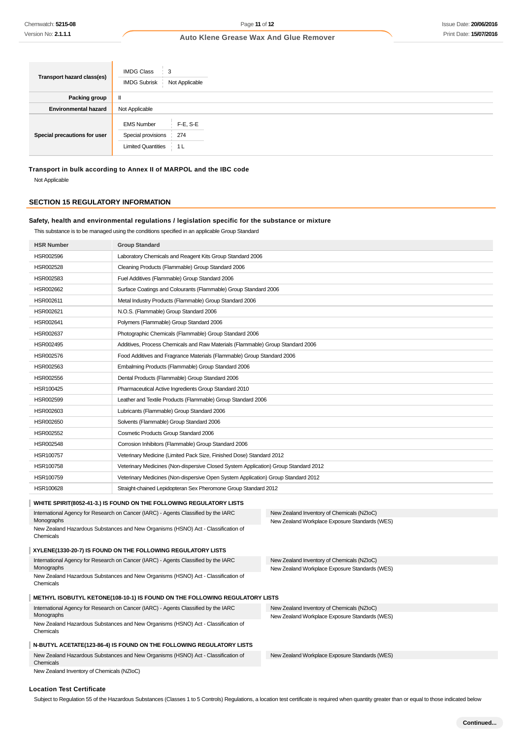| Transport hazard class(es)   | <b>IMDG Class</b><br><b>IMDG Subrisk</b>                             | 3<br>Not Applicable                 |
|------------------------------|----------------------------------------------------------------------|-------------------------------------|
| <b>Packing group</b>         | $\mathbf{I}$                                                         |                                     |
| <b>Environmental hazard</b>  | Not Applicable                                                       |                                     |
| Special precautions for user | <b>EMS Number</b><br>Special provisions<br><b>Limited Quantities</b> | $F-E, S-E$<br>274<br>1 <sub>L</sub> |

**Transport in bulk according to Annex II of MARPOL and the IBC code**

Not Applicable

# **SECTION 15 REGULATORY INFORMATION**

## **Safety, health and environmental regulations / legislation specific for the substance or mixture**

This substance is to be managed using the conditions specified in an applicable Group Standard

| <b>HSR Number</b>                                                                                                                | <b>Group Standard</b>                                                               |                                                                                              |
|----------------------------------------------------------------------------------------------------------------------------------|-------------------------------------------------------------------------------------|----------------------------------------------------------------------------------------------|
| HSR002596                                                                                                                        | Laboratory Chemicals and Reagent Kits Group Standard 2006                           |                                                                                              |
| HSR002528                                                                                                                        | Cleaning Products (Flammable) Group Standard 2006                                   |                                                                                              |
| HSR002583                                                                                                                        | Fuel Additives (Flammable) Group Standard 2006                                      |                                                                                              |
| HSR002662                                                                                                                        | Surface Coatings and Colourants (Flammable) Group Standard 2006                     |                                                                                              |
| HSR002611                                                                                                                        | Metal Industry Products (Flammable) Group Standard 2006                             |                                                                                              |
| HSR002621                                                                                                                        | N.O.S. (Flammable) Group Standard 2006                                              |                                                                                              |
| HSR002641                                                                                                                        | Polymers (Flammable) Group Standard 2006                                            |                                                                                              |
| HSR002637                                                                                                                        | Photographic Chemicals (Flammable) Group Standard 2006                              |                                                                                              |
| HSR002495                                                                                                                        | Additives, Process Chemicals and Raw Materials (Flammable) Group Standard 2006      |                                                                                              |
| HSR002576                                                                                                                        | Food Additives and Fragrance Materials (Flammable) Group Standard 2006              |                                                                                              |
| HSR002563                                                                                                                        | Embalming Products (Flammable) Group Standard 2006                                  |                                                                                              |
| HSR002556                                                                                                                        | Dental Products (Flammable) Group Standard 2006                                     |                                                                                              |
| HSR100425                                                                                                                        | Pharmaceutical Active Ingredients Group Standard 2010                               |                                                                                              |
| HSR002599                                                                                                                        | Leather and Textile Products (Flammable) Group Standard 2006                        |                                                                                              |
| HSR002603                                                                                                                        | Lubricants (Flammable) Group Standard 2006                                          |                                                                                              |
| HSR002650                                                                                                                        | Solvents (Flammable) Group Standard 2006                                            |                                                                                              |
| HSR002552                                                                                                                        | Cosmetic Products Group Standard 2006                                               |                                                                                              |
| HSR002548                                                                                                                        | Corrosion Inhibitors (Flammable) Group Standard 2006                                |                                                                                              |
| HSR100757                                                                                                                        | Veterinary Medicine (Limited Pack Size, Finished Dose) Standard 2012                |                                                                                              |
| HSR100758                                                                                                                        | Veterinary Medicines (Non-dispersive Closed System Application) Group Standard 2012 |                                                                                              |
| HSR100759                                                                                                                        | Veterinary Medicines (Non-dispersive Open System Application) Group Standard 2012   |                                                                                              |
| HSR100628                                                                                                                        | Straight-chained Lepidopteran Sex Pheromone Group Standard 2012                     |                                                                                              |
|                                                                                                                                  | WHITE SPIRIT(8052-41-3.) IS FOUND ON THE FOLLOWING REGULATORY LISTS                 |                                                                                              |
| International Agency for Research on Cancer (IARC) - Agents Classified by the IARC<br>New Zealand Inventory of Chemicals (NZIoC) |                                                                                     |                                                                                              |
| Monographs                                                                                                                       |                                                                                     | New Zealand Workplace Exposure Standards (WES)                                               |
| Chemicals                                                                                                                        | New Zealand Hazardous Substances and New Organisms (HSNO) Act - Classification of   |                                                                                              |
|                                                                                                                                  | XYLENE(1330-20-7) IS FOUND ON THE FOLLOWING REGULATORY LISTS                        |                                                                                              |
|                                                                                                                                  |                                                                                     | New Zealand Inventory of Chemicals (NZIoC)                                                   |
| International Agency for Research on Cancer (IARC) - Agents Classified by the IARC<br>Monographs                                 |                                                                                     | New Zealand Workplace Exposure Standards (WES)                                               |
| Chemicals                                                                                                                        | New Zealand Hazardous Substances and New Organisms (HSNO) Act - Classification of   |                                                                                              |
|                                                                                                                                  |                                                                                     |                                                                                              |
| METHYL ISOBUTYL KETONE(108-10-1) IS FOUND ON THE FOLLOWING REGULATORY LISTS                                                      |                                                                                     |                                                                                              |
| International Agency for Research on Cancer (IARC) - Agents Classified by the IARC<br>Monographs                                 |                                                                                     | New Zealand Inventory of Chemicals (NZIoC)<br>New Zealand Workplace Exposure Standards (WES) |
| New Zealand Hazardous Substances and New Organisms (HSNO) Act - Classification of                                                |                                                                                     |                                                                                              |
| Chemicals                                                                                                                        |                                                                                     |                                                                                              |
| N-BUTYL ACETATE(123-86-4) IS FOUND ON THE FOLLOWING REGULATORY LISTS                                                             |                                                                                     |                                                                                              |
| Chemicals                                                                                                                        | New Zealand Hazardous Substances and New Organisms (HSNO) Act - Classification of   | New Zealand Workplace Exposure Standards (WES)                                               |
| New Zealand Inventory of Chemicals (NZIoC)                                                                                       |                                                                                     |                                                                                              |
|                                                                                                                                  |                                                                                     |                                                                                              |

# **Location Test Certificate**

Subject to Regulation 55 of the Hazardous Substances (Classes 1 to 5 Controls) Regulations, a location test certificate is required when quantity greater than or equal to those indicated below